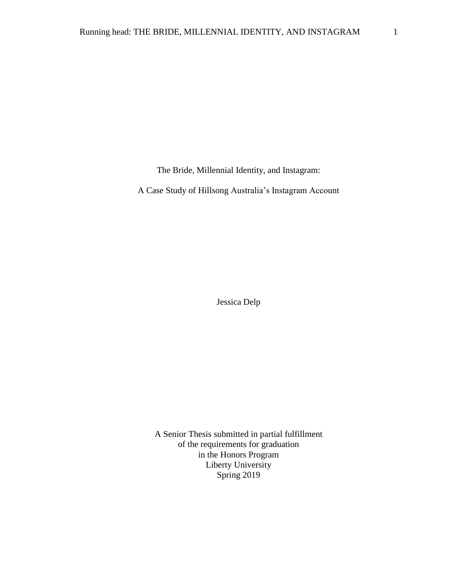The Bride, Millennial Identity, and Instagram:

A Case Study of Hillsong Australia's Instagram Account

Jessica Delp

A Senior Thesis submitted in partial fulfillment of the requirements for graduation in the Honors Program Liberty University Spring 2019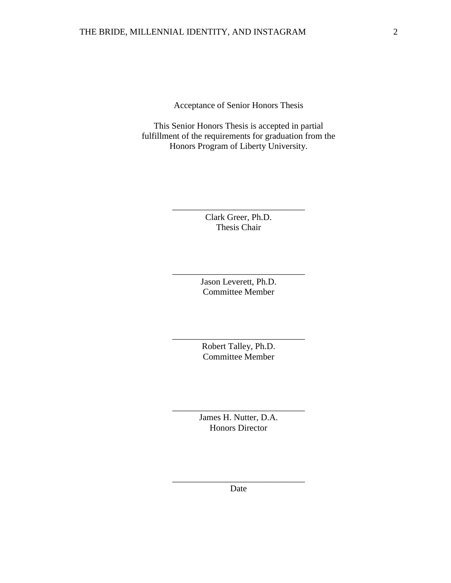Acceptance of Senior Honors Thesis

This Senior Honors Thesis is accepted in partial fulfillment of the requirements for graduation from the Honors Program of Liberty University.

> Clark Greer, Ph.D. Thesis Chair

\_\_\_\_\_\_\_\_\_\_\_\_\_\_\_\_\_\_\_\_\_\_\_\_\_\_\_\_\_\_

Jason Leverett, Ph.D. Committee Member

\_\_\_\_\_\_\_\_\_\_\_\_\_\_\_\_\_\_\_\_\_\_\_\_\_\_\_\_\_\_

Robert Talley, Ph.D. Committee Member

\_\_\_\_\_\_\_\_\_\_\_\_\_\_\_\_\_\_\_\_\_\_\_\_\_\_\_\_\_\_

James H. Nutter, D.A. Honors Director

\_\_\_\_\_\_\_\_\_\_\_\_\_\_\_\_\_\_\_\_\_\_\_\_\_\_\_\_\_\_

\_\_\_\_\_\_\_\_\_\_\_\_\_\_\_\_\_\_\_\_\_\_\_\_\_\_\_\_\_\_ Date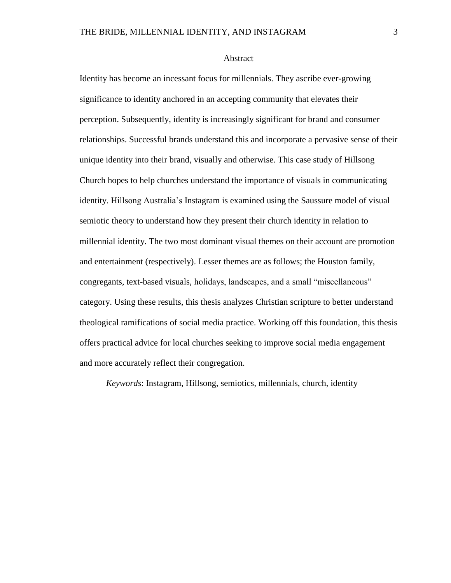## Abstract

Identity has become an incessant focus for millennials. They ascribe ever-growing significance to identity anchored in an accepting community that elevates their perception. Subsequently, identity is increasingly significant for brand and consumer relationships. Successful brands understand this and incorporate a pervasive sense of their unique identity into their brand, visually and otherwise. This case study of Hillsong Church hopes to help churches understand the importance of visuals in communicating identity. Hillsong Australia's Instagram is examined using the Saussure model of visual semiotic theory to understand how they present their church identity in relation to millennial identity. The two most dominant visual themes on their account are promotion and entertainment (respectively). Lesser themes are as follows; the Houston family, congregants, text-based visuals, holidays, landscapes, and a small "miscellaneous" category. Using these results, this thesis analyzes Christian scripture to better understand theological ramifications of social media practice. Working off this foundation, this thesis offers practical advice for local churches seeking to improve social media engagement and more accurately reflect their congregation.

*Keywords*: Instagram, Hillsong, semiotics, millennials, church, identity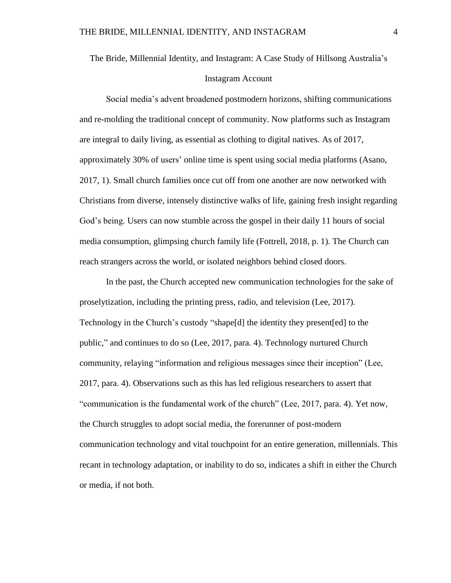The Bride, Millennial Identity, and Instagram: A Case Study of Hillsong Australia's

# Instagram Account

Social media's advent broadened postmodern horizons, shifting communications and re-molding the traditional concept of community. Now platforms such as Instagram are integral to daily living, as essential as clothing to digital natives. As of 2017, approximately 30% of users' online time is spent using social media platforms (Asano, 2017, 1). Small church families once cut off from one another are now networked with Christians from diverse, intensely distinctive walks of life, gaining fresh insight regarding God's being. Users can now stumble across the gospel in their daily 11 hours of social media consumption, glimpsing church family life (Fottrell, 2018, p. 1). The Church can reach strangers across the world, or isolated neighbors behind closed doors.

In the past, the Church accepted new communication technologies for the sake of proselytization, including the printing press, radio, and television (Lee, 2017). Technology in the Church's custody "shape[d] the identity they present[ed] to the public," and continues to do so (Lee, 2017, para. 4). Technology nurtured Church community, relaying "information and religious messages since their inception" (Lee, 2017, para. 4). Observations such as this has led religious researchers to assert that "communication is the fundamental work of the church" (Lee, 2017, para. 4). Yet now, the Church struggles to adopt social media, the forerunner of post-modern communication technology and vital touchpoint for an entire generation, millennials. This recant in technology adaptation, or inability to do so, indicates a shift in either the Church or media, if not both.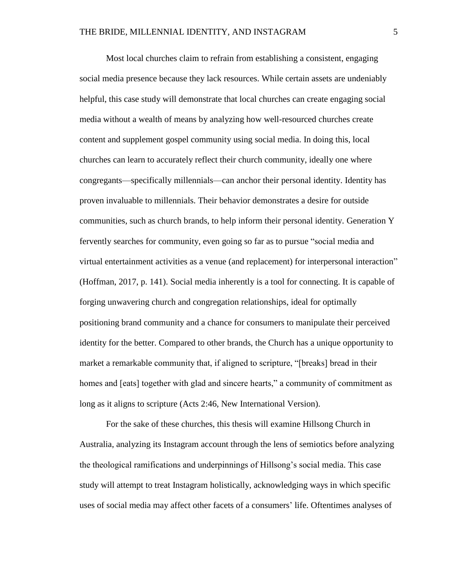Most local churches claim to refrain from establishing a consistent, engaging social media presence because they lack resources. While certain assets are undeniably helpful, this case study will demonstrate that local churches can create engaging social media without a wealth of means by analyzing how well-resourced churches create content and supplement gospel community using social media. In doing this, local churches can learn to accurately reflect their church community, ideally one where congregants—specifically millennials—can anchor their personal identity. Identity has proven invaluable to millennials. Their behavior demonstrates a desire for outside communities, such as church brands, to help inform their personal identity. Generation Y fervently searches for community, even going so far as to pursue "social media and virtual entertainment activities as a venue (and replacement) for interpersonal interaction" (Hoffman, 2017, p. 141). Social media inherently is a tool for connecting. It is capable of forging unwavering church and congregation relationships, ideal for optimally positioning brand community and a chance for consumers to manipulate their perceived identity for the better. Compared to other brands, the Church has a unique opportunity to market a remarkable community that, if aligned to scripture, "[breaks] bread in their homes and [eats] together with glad and sincere hearts," a community of commitment as long as it aligns to scripture (Acts 2:46, New International Version).

For the sake of these churches, this thesis will examine Hillsong Church in Australia, analyzing its Instagram account through the lens of semiotics before analyzing the theological ramifications and underpinnings of Hillsong's social media. This case study will attempt to treat Instagram holistically, acknowledging ways in which specific uses of social media may affect other facets of a consumers' life. Oftentimes analyses of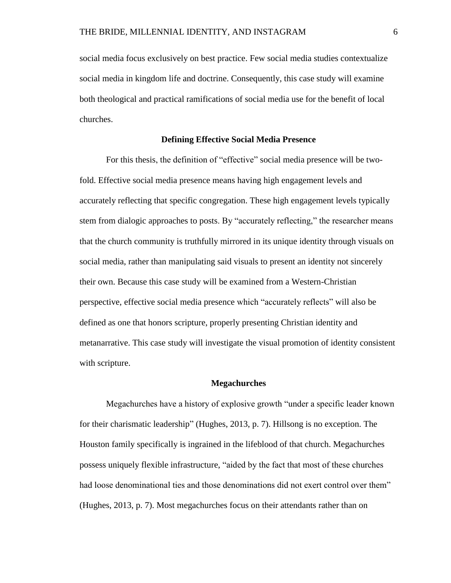social media focus exclusively on best practice. Few social media studies contextualize social media in kingdom life and doctrine. Consequently, this case study will examine both theological and practical ramifications of social media use for the benefit of local churches.

### **Defining Effective Social Media Presence**

For this thesis, the definition of "effective" social media presence will be twofold. Effective social media presence means having high engagement levels and accurately reflecting that specific congregation. These high engagement levels typically stem from dialogic approaches to posts. By "accurately reflecting," the researcher means that the church community is truthfully mirrored in its unique identity through visuals on social media, rather than manipulating said visuals to present an identity not sincerely their own. Because this case study will be examined from a Western-Christian perspective, effective social media presence which "accurately reflects" will also be defined as one that honors scripture, properly presenting Christian identity and metanarrative. This case study will investigate the visual promotion of identity consistent with scripture.

## **Megachurches**

Megachurches have a history of explosive growth "under a specific leader known for their charismatic leadership" (Hughes, 2013, p. 7). Hillsong is no exception. The Houston family specifically is ingrained in the lifeblood of that church. Megachurches possess uniquely flexible infrastructure, "aided by the fact that most of these churches had loose denominational ties and those denominations did not exert control over them" (Hughes, 2013, p. 7). Most megachurches focus on their attendants rather than on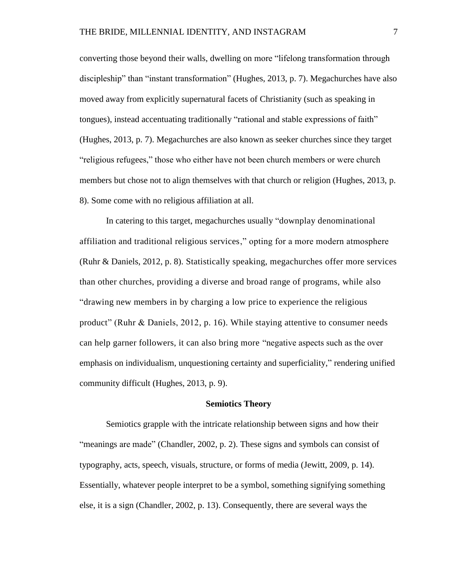converting those beyond their walls, dwelling on more "lifelong transformation through discipleship" than "instant transformation" (Hughes, 2013, p. 7). Megachurches have also moved away from explicitly supernatural facets of Christianity (such as speaking in tongues), instead accentuating traditionally "rational and stable expressions of faith" (Hughes, 2013, p. 7). Megachurches are also known as seeker churches since they target "religious refugees," those who either have not been church members or were church members but chose not to align themselves with that church or religion (Hughes, 2013, p. 8). Some come with no religious affiliation at all.

In catering to this target, megachurches usually "downplay denominational affiliation and traditional religious services," opting for a more modern atmosphere (Ruhr & Daniels, 2012, p. 8). Statistically speaking, megachurches offer more services than other churches, providing a diverse and broad range of programs, while also "drawing new members in by charging a low price to experience the religious product" (Ruhr & Daniels, 2012, p. 16). While staying attentive to consumer needs can help garner followers, it can also bring more "negative aspects such as the over emphasis on individualism, unquestioning certainty and superficiality," rendering unified community difficult (Hughes, 2013, p. 9).

#### **Semiotics Theory**

Semiotics grapple with the intricate relationship between signs and how their "meanings are made" (Chandler, 2002, p. 2). These signs and symbols can consist of typography, acts, speech, visuals, structure, or forms of media (Jewitt, 2009, p. 14). Essentially, whatever people interpret to be a symbol, something signifying something else, it is a sign (Chandler, 2002, p. 13). Consequently, there are several ways the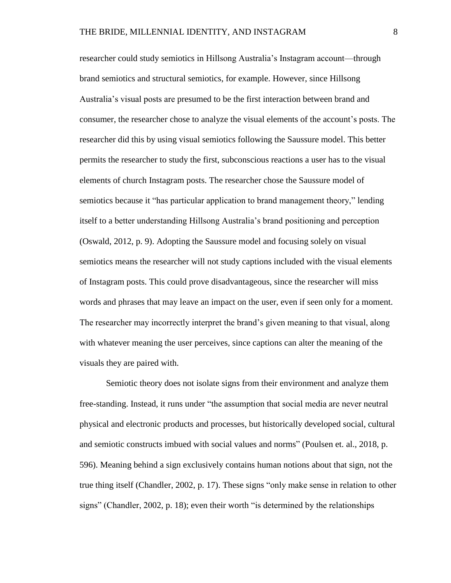researcher could study semiotics in Hillsong Australia's Instagram account—through brand semiotics and structural semiotics, for example. However, since Hillsong Australia's visual posts are presumed to be the first interaction between brand and consumer, the researcher chose to analyze the visual elements of the account's posts. The researcher did this by using visual semiotics following the Saussure model. This better permits the researcher to study the first, subconscious reactions a user has to the visual elements of church Instagram posts. The researcher chose the Saussure model of semiotics because it "has particular application to brand management theory," lending itself to a better understanding Hillsong Australia's brand positioning and perception (Oswald, 2012, p. 9). Adopting the Saussure model and focusing solely on visual semiotics means the researcher will not study captions included with the visual elements of Instagram posts. This could prove disadvantageous, since the researcher will miss words and phrases that may leave an impact on the user, even if seen only for a moment. The researcher may incorrectly interpret the brand's given meaning to that visual, along with whatever meaning the user perceives, since captions can alter the meaning of the visuals they are paired with.

Semiotic theory does not isolate signs from their environment and analyze them free-standing. Instead, it runs under "the assumption that social media are never neutral physical and electronic products and processes, but historically developed social, cultural and semiotic constructs imbued with social values and norms" (Poulsen et. al., 2018, p. 596). Meaning behind a sign exclusively contains human notions about that sign, not the true thing itself (Chandler, 2002, p. 17). These signs "only make sense in relation to other signs" (Chandler, 2002, p. 18); even their worth "is determined by the relationships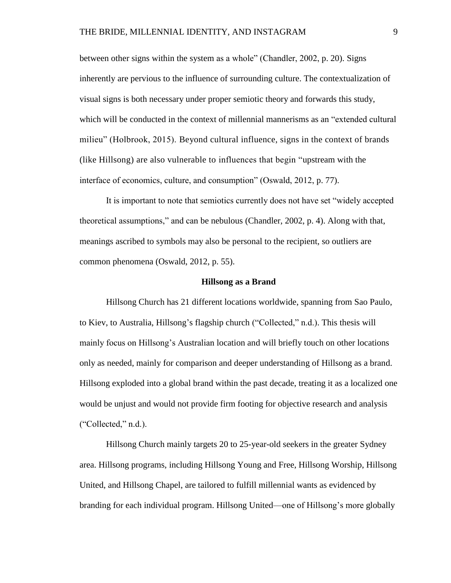between other signs within the system as a whole" (Chandler, 2002, p. 20). Signs inherently are pervious to the influence of surrounding culture. The contextualization of visual signs is both necessary under proper semiotic theory and forwards this study, which will be conducted in the context of millennial mannerisms as an "extended cultural milieu" (Holbrook, 2015). Beyond cultural influence, signs in the context of brands (like Hillsong) are also vulnerable to influences that begin "upstream with the interface of economics, culture, and consumption" (Oswald, 2012, p. 77).

It is important to note that semiotics currently does not have set "widely accepted theoretical assumptions," and can be nebulous (Chandler, 2002, p. 4). Along with that, meanings ascribed to symbols may also be personal to the recipient, so outliers are common phenomena (Oswald, 2012, p. 55).

#### **Hillsong as a Brand**

Hillsong Church has 21 different locations worldwide, spanning from Sao Paulo, to Kiev, to Australia, Hillsong's flagship church ("Collected," n.d.). This thesis will mainly focus on Hillsong's Australian location and will briefly touch on other locations only as needed, mainly for comparison and deeper understanding of Hillsong as a brand. Hillsong exploded into a global brand within the past decade, treating it as a localized one would be unjust and would not provide firm footing for objective research and analysis ("Collected," n.d.).

Hillsong Church mainly targets 20 to 25-year-old seekers in the greater Sydney area. Hillsong programs, including Hillsong Young and Free, Hillsong Worship, Hillsong United, and Hillsong Chapel, are tailored to fulfill millennial wants as evidenced by branding for each individual program. Hillsong United—one of Hillsong's more globally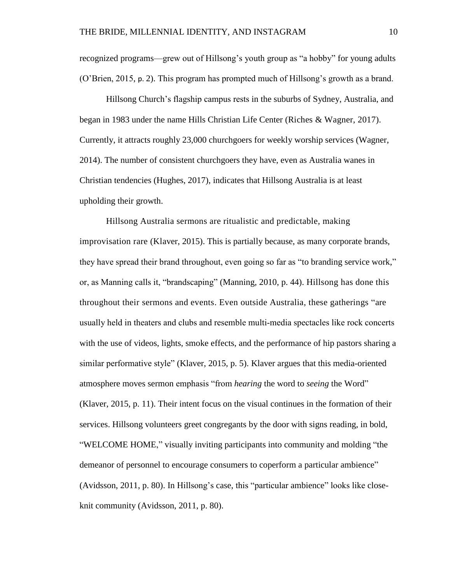recognized programs—grew out of Hillsong's youth group as "a hobby" for young adults (O'Brien, 2015, p. 2). This program has prompted much of Hillsong's growth as a brand.

Hillsong Church's flagship campus rests in the suburbs of Sydney, Australia, and began in 1983 under the name Hills Christian Life Center (Riches & [Wagner, 2017\)](https://www.mdpi.com/2077-1444/9/6/192/htm#B39-religions-09-00192). Currently, it attracts roughly 23,000 churchgoers for weekly worship services (Wagner, 2014). The number of consistent churchgoers they have, even as Australia wanes in Christian tendencies (Hughes, 2017), indicates that Hillsong Australia is at least upholding their growth.

Hillsong Australia sermons are ritualistic and predictable, making improvisation rare (Klaver, 2015). This is partially because, as many corporate brands, they have spread their brand throughout, even going so far as "to branding service work," or, as Manning calls it, "brandscaping" (Manning, 2010, p. 44). Hillsong has done this throughout their sermons and events. Even outside Australia, these gatherings "are usually held in theaters and clubs and resemble multi‐media spectacles like rock concerts with the use of videos, lights, smoke effects, and the performance of hip pastors sharing a similar performative style" (Klaver, 2015, p. 5). Klaver argues that this media-oriented atmosphere moves sermon emphasis "from *hearing* the word to *seeing* the Word" (Klaver, 2015, p. 11). Their intent focus on the visual continues in the formation of their services. Hillsong volunteers greet congregants by the door with signs reading, in bold, "WELCOME HOME," visually inviting participants into community and molding "the demeanor of personnel to encourage consumers to coperform a particular ambience" (Avidsson, 2011, p. 80). In Hillsong's case, this "particular ambience" looks like closeknit community (Avidsson, 2011, p. 80).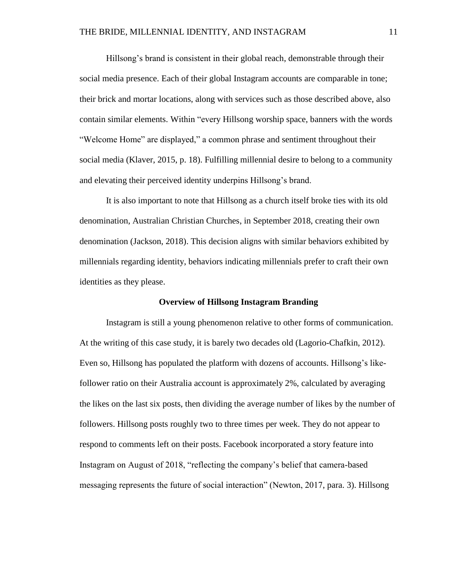Hillsong's brand is consistent in their global reach, demonstrable through their social media presence. Each of their global Instagram accounts are comparable in tone; their brick and mortar locations, along with services such as those described above, also contain similar elements. Within "every Hillsong worship space, banners with the words "Welcome Home" are displayed," a common phrase and sentiment throughout their social media (Klaver, 2015, p. 18). Fulfilling millennial desire to belong to a community and elevating their perceived identity underpins Hillsong's brand.

It is also important to note that Hillsong as a church itself broke ties with its old denomination, Australian Christian Churches, in September 2018, creating their own denomination (Jackson, 2018). This decision aligns with similar behaviors exhibited by millennials regarding identity, behaviors indicating millennials prefer to craft their own identities as they please.

## **Overview of Hillsong Instagram Branding**

Instagram is still a young phenomenon relative to other forms of communication. At the writing of this case study, it is barely two decades old (Lagorio-Chafkin, 2012). Even so, Hillsong has populated the platform with dozens of accounts. Hillsong's likefollower ratio on their Australia account is approximately 2%, calculated by averaging the likes on the last six posts, then dividing the average number of likes by the number of followers. Hillsong posts roughly two to three times per week. They do not appear to respond to comments left on their posts. Facebook incorporated a story feature into Instagram on August of 2018, "reflecting the company's belief that camera-based messaging represents the future of social interaction" (Newton, 2017, para. 3). Hillsong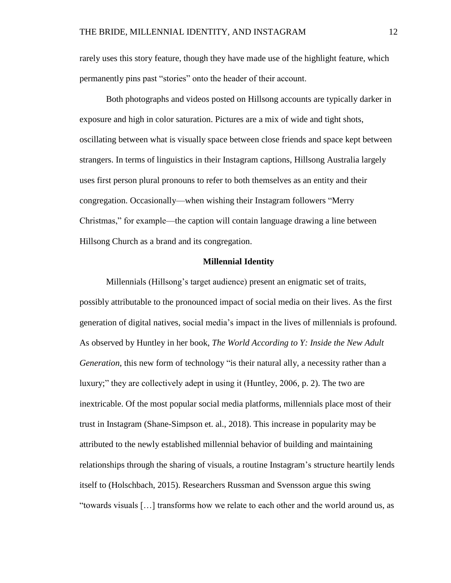rarely uses this story feature, though they have made use of the highlight feature, which permanently pins past "stories" onto the header of their account.

Both photographs and videos posted on Hillsong accounts are typically darker in exposure and high in color saturation. Pictures are a mix of wide and tight shots, oscillating between what is visually space between close friends and space kept between strangers. In terms of linguistics in their Instagram captions, Hillsong Australia largely uses first person plural pronouns to refer to both themselves as an entity and their congregation. Occasionally—when wishing their Instagram followers "Merry Christmas," for example—the caption will contain language drawing a line between Hillsong Church as a brand and its congregation.

#### **Millennial Identity**

Millennials (Hillsong's target audience) present an enigmatic set of traits, possibly attributable to the pronounced impact of social media on their lives. As the first generation of digital natives, social media's impact in the lives of millennials is profound. As observed by Huntley in her book, *The World According to Y: Inside the New Adult Generation*, this new form of technology "is their natural ally, a necessity rather than a luxury;" they are collectively adept in using it (Huntley, 2006, p. 2). The two are inextricable. Of the most popular social media platforms, millennials place most of their trust in Instagram (Shane-Simpson et. al., 2018). This increase in popularity may be attributed to the newly established millennial behavior of building and maintaining relationships through the sharing of visuals, a routine Instagram's structure heartily lends itself to (Holschbach, 2015). Researchers Russman and Svensson argue this swing "towards visuals […] transforms how we relate to each other and the world around us, as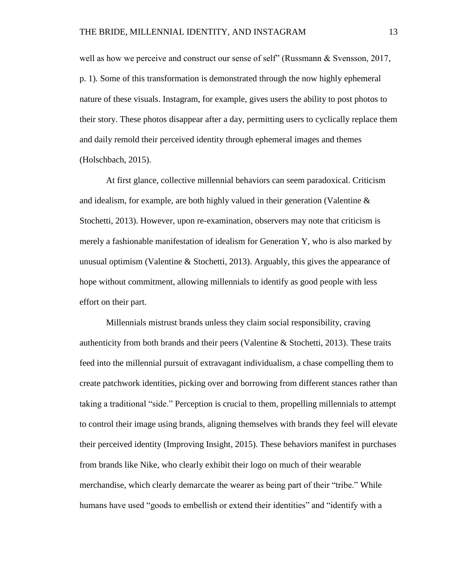well as how we perceive and construct our sense of self" (Russmann & Svensson, 2017, p. 1). Some of this transformation is demonstrated through the now highly ephemeral nature of these visuals. Instagram, for example, gives users the ability to post photos to their story. These photos disappear after a day, permitting users to cyclically replace them and daily remold their perceived identity through ephemeral images and themes (Holschbach, 2015).

At first glance, collective millennial behaviors can seem paradoxical. Criticism and idealism, for example, are both highly valued in their generation (Valentine  $\&$ Stochetti, 2013). However, upon re-examination, observers may note that criticism is merely a fashionable manifestation of idealism for Generation Y, who is also marked by unusual optimism (Valentine & Stochetti, 2013). Arguably, this gives the appearance of hope without commitment, allowing millennials to identify as good people with less effort on their part.

Millennials mistrust brands unless they claim social responsibility, craving authenticity from both brands and their peers (Valentine  $\&$  Stochetti, 2013). These traits feed into the millennial pursuit of extravagant individualism, a chase compelling them to create patchwork identities, picking over and borrowing from different stances rather than taking a traditional "side." Perception is crucial to them, propelling millennials to attempt to control their image using brands, aligning themselves with brands they feel will elevate their perceived identity (Improving Insight, 2015). These behaviors manifest in purchases from brands like Nike, who clearly exhibit their logo on much of their wearable merchandise, which clearly demarcate the wearer as being part of their "tribe." While humans have used "goods to embellish or extend their identities" and "identify with a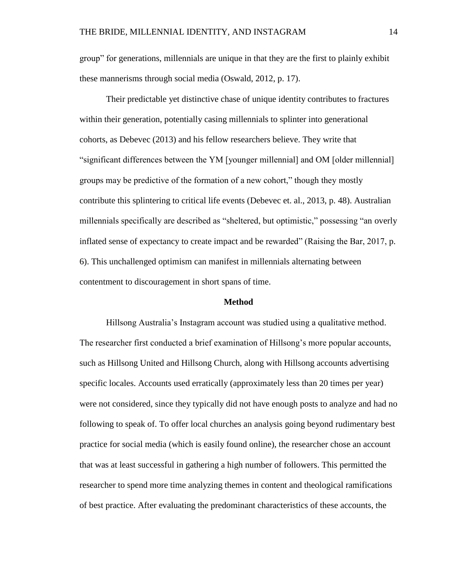group" for generations, millennials are unique in that they are the first to plainly exhibit these mannerisms through social media (Oswald, 2012, p. 17).

Their predictable yet distinctive chase of unique identity contributes to fractures within their generation, potentially casing millennials to splinter into generational cohorts, as Debevec (2013) and his fellow researchers believe. They write that "significant differences between the YM [younger millennial] and OM [older millennial] groups may be predictive of the formation of a new cohort," though they mostly contribute this splintering to critical life events (Debevec et. al., 2013, p. 48). Australian millennials specifically are described as "sheltered, but optimistic," possessing "an overly inflated sense of expectancy to create impact and be rewarded" (Raising the Bar, 2017, p. 6). This unchallenged optimism can manifest in millennials alternating between contentment to discouragement in short spans of time.

## **Method**

Hillsong Australia's Instagram account was studied using a qualitative method. The researcher first conducted a brief examination of Hillsong's more popular accounts, such as Hillsong United and Hillsong Church, along with Hillsong accounts advertising specific locales. Accounts used erratically (approximately less than 20 times per year) were not considered, since they typically did not have enough posts to analyze and had no following to speak of. To offer local churches an analysis going beyond rudimentary best practice for social media (which is easily found online), the researcher chose an account that was at least successful in gathering a high number of followers. This permitted the researcher to spend more time analyzing themes in content and theological ramifications of best practice. After evaluating the predominant characteristics of these accounts, the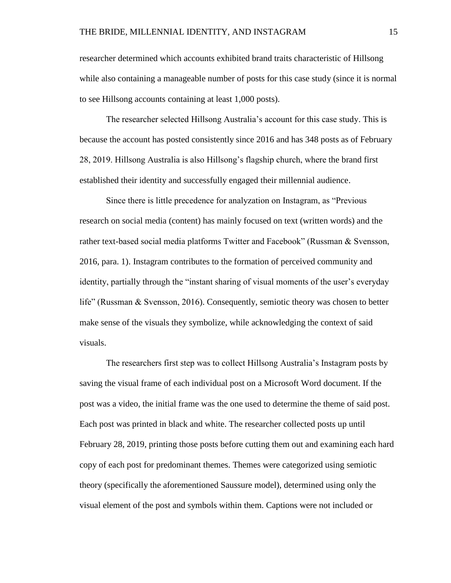researcher determined which accounts exhibited brand traits characteristic of Hillsong while also containing a manageable number of posts for this case study (since it is normal to see Hillsong accounts containing at least 1,000 posts).

The researcher selected Hillsong Australia's account for this case study. This is because the account has posted consistently since 2016 and has 348 posts as of February 28, 2019. Hillsong Australia is also Hillsong's flagship church, where the brand first established their identity and successfully engaged their millennial audience.

Since there is little precedence for analyzation on Instagram, as "Previous research on social media (content) has mainly focused on text (written words) and the rather text-based social media platforms Twitter and Facebook" (Russman & Svensson, 2016, para. 1). Instagram contributes to the formation of perceived community and identity, partially through the "instant sharing of visual moments of the user's everyday life" (Russman & Svensson, 2016). Consequently, semiotic theory was chosen to better make sense of the visuals they symbolize, while acknowledging the context of said visuals.

The researchers first step was to collect Hillsong Australia's Instagram posts by saving the visual frame of each individual post on a Microsoft Word document. If the post was a video, the initial frame was the one used to determine the theme of said post. Each post was printed in black and white. The researcher collected posts up until February 28, 2019, printing those posts before cutting them out and examining each hard copy of each post for predominant themes. Themes were categorized using semiotic theory (specifically the aforementioned Saussure model), determined using only the visual element of the post and symbols within them. Captions were not included or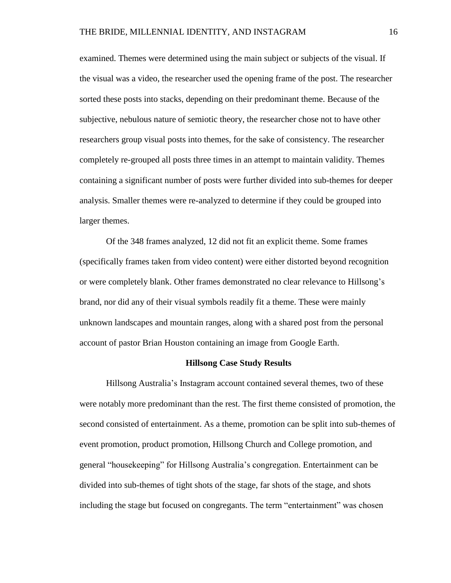examined. Themes were determined using the main subject or subjects of the visual. If the visual was a video, the researcher used the opening frame of the post. The researcher sorted these posts into stacks, depending on their predominant theme. Because of the subjective, nebulous nature of semiotic theory, the researcher chose not to have other researchers group visual posts into themes, for the sake of consistency. The researcher completely re-grouped all posts three times in an attempt to maintain validity. Themes containing a significant number of posts were further divided into sub-themes for deeper analysis. Smaller themes were re-analyzed to determine if they could be grouped into larger themes.

Of the 348 frames analyzed, 12 did not fit an explicit theme. Some frames (specifically frames taken from video content) were either distorted beyond recognition or were completely blank. Other frames demonstrated no clear relevance to Hillsong's brand, nor did any of their visual symbols readily fit a theme. These were mainly unknown landscapes and mountain ranges, along with a shared post from the personal account of pastor Brian Houston containing an image from Google Earth.

#### **Hillsong Case Study Results**

Hillsong Australia's Instagram account contained several themes, two of these were notably more predominant than the rest. The first theme consisted of promotion, the second consisted of entertainment. As a theme, promotion can be split into sub-themes of event promotion, product promotion, Hillsong Church and College promotion, and general "housekeeping" for Hillsong Australia's congregation. Entertainment can be divided into sub-themes of tight shots of the stage, far shots of the stage, and shots including the stage but focused on congregants. The term "entertainment" was chosen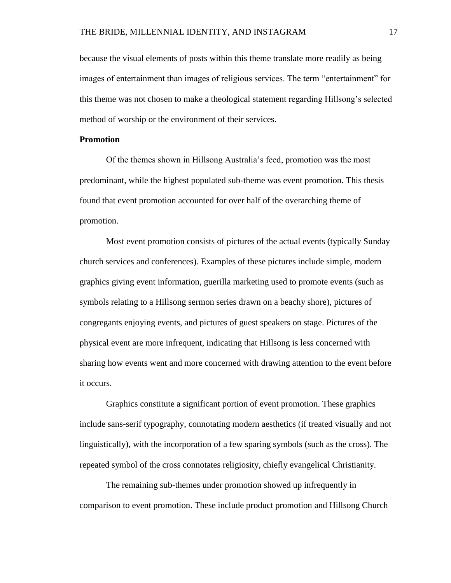because the visual elements of posts within this theme translate more readily as being images of entertainment than images of religious services. The term "entertainment" for this theme was not chosen to make a theological statement regarding Hillsong's selected method of worship or the environment of their services.

## **Promotion**

Of the themes shown in Hillsong Australia's feed, promotion was the most predominant, while the highest populated sub-theme was event promotion. This thesis found that event promotion accounted for over half of the overarching theme of promotion.

Most event promotion consists of pictures of the actual events (typically Sunday church services and conferences). Examples of these pictures include simple, modern graphics giving event information, guerilla marketing used to promote events (such as symbols relating to a Hillsong sermon series drawn on a beachy shore), pictures of congregants enjoying events, and pictures of guest speakers on stage. Pictures of the physical event are more infrequent, indicating that Hillsong is less concerned with sharing how events went and more concerned with drawing attention to the event before it occurs.

Graphics constitute a significant portion of event promotion. These graphics include sans-serif typography, connotating modern aesthetics (if treated visually and not linguistically), with the incorporation of a few sparing symbols (such as the cross). The repeated symbol of the cross connotates religiosity, chiefly evangelical Christianity.

The remaining sub-themes under promotion showed up infrequently in comparison to event promotion. These include product promotion and Hillsong Church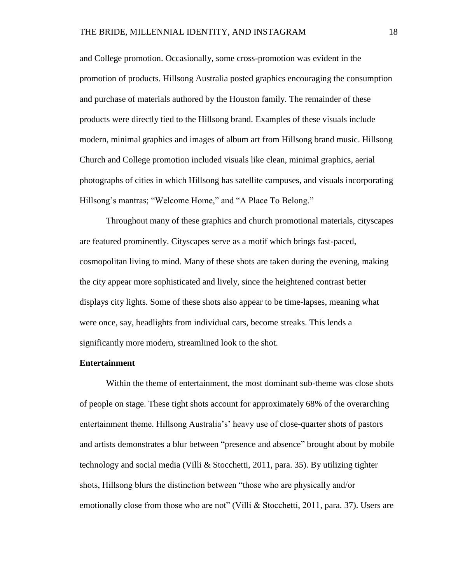and College promotion. Occasionally, some cross-promotion was evident in the promotion of products. Hillsong Australia posted graphics encouraging the consumption and purchase of materials authored by the Houston family. The remainder of these products were directly tied to the Hillsong brand. Examples of these visuals include modern, minimal graphics and images of album art from Hillsong brand music. Hillsong Church and College promotion included visuals like clean, minimal graphics, aerial photographs of cities in which Hillsong has satellite campuses, and visuals incorporating Hillsong's mantras; "Welcome Home," and "A Place To Belong."

Throughout many of these graphics and church promotional materials, cityscapes are featured prominently. Cityscapes serve as a motif which brings fast-paced, cosmopolitan living to mind. Many of these shots are taken during the evening, making the city appear more sophisticated and lively, since the heightened contrast better displays city lights. Some of these shots also appear to be time-lapses, meaning what were once, say, headlights from individual cars, become streaks. This lends a significantly more modern, streamlined look to the shot.

# **Entertainment**

Within the theme of entertainment, the most dominant sub-theme was close shots of people on stage. These tight shots account for approximately 68% of the overarching entertainment theme. Hillsong Australia's' heavy use of close-quarter shots of pastors and artists demonstrates a blur between "presence and absence" brought about by mobile technology and social media (Villi & Stocchetti, 2011, para. 35). By utilizing tighter shots, Hillsong blurs the distinction between "those who are physically and/or emotionally close from those who are not" (Villi & Stocchetti, 2011, para. 37). Users are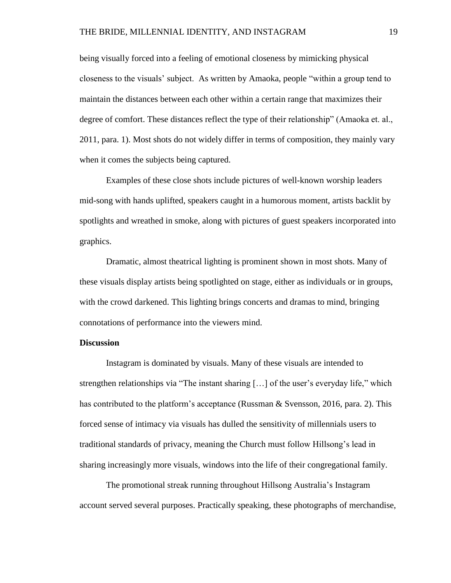being visually forced into a feeling of emotional closeness by mimicking physical closeness to the visuals' subject. As written by Amaoka, people "within a group tend to maintain the distances between each other within a certain range that maximizes their degree of comfort. These distances reflect the type of their relationship" (Amaoka et. al., 2011, para. 1). Most shots do not widely differ in terms of composition, they mainly vary when it comes the subjects being captured.

Examples of these close shots include pictures of well-known worship leaders mid-song with hands uplifted, speakers caught in a humorous moment, artists backlit by spotlights and wreathed in smoke, along with pictures of guest speakers incorporated into graphics.

Dramatic, almost theatrical lighting is prominent shown in most shots. Many of these visuals display artists being spotlighted on stage, either as individuals or in groups, with the crowd darkened. This lighting brings concerts and dramas to mind, bringing connotations of performance into the viewers mind.

# **Discussion**

Instagram is dominated by visuals. Many of these visuals are intended to strengthen relationships via "The instant sharing […] of the user's everyday life," which has contributed to the platform's acceptance (Russman & Svensson, 2016, para. 2). This forced sense of intimacy via visuals has dulled the sensitivity of millennials users to traditional standards of privacy, meaning the Church must follow Hillsong's lead in sharing increasingly more visuals, windows into the life of their congregational family.

The promotional streak running throughout Hillsong Australia's Instagram account served several purposes. Practically speaking, these photographs of merchandise,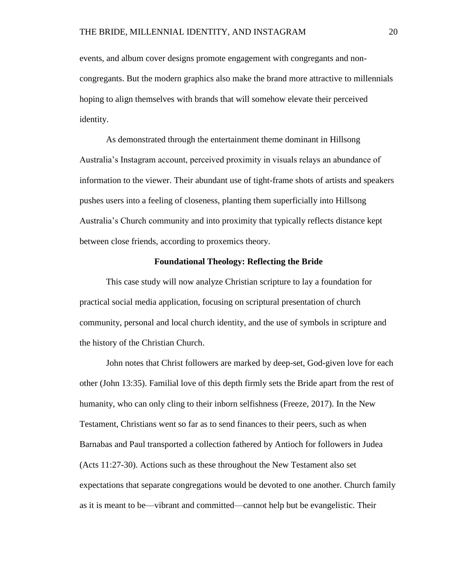events, and album cover designs promote engagement with congregants and noncongregants. But the modern graphics also make the brand more attractive to millennials hoping to align themselves with brands that will somehow elevate their perceived identity.

As demonstrated through the entertainment theme dominant in Hillsong Australia's Instagram account, perceived proximity in visuals relays an abundance of information to the viewer. Their abundant use of tight-frame shots of artists and speakers pushes users into a feeling of closeness, planting them superficially into Hillsong Australia's Church community and into proximity that typically reflects distance kept between close friends, according to proxemics theory.

### **Foundational Theology: Reflecting the Bride**

This case study will now analyze Christian scripture to lay a foundation for practical social media application, focusing on scriptural presentation of church community, personal and local church identity, and the use of symbols in scripture and the history of the Christian Church.

John notes that Christ followers are marked by deep-set, God-given love for each other (John 13:35). Familial love of this depth firmly sets the Bride apart from the rest of humanity, who can only cling to their inborn selfishness (Freeze, 2017). In the New Testament, Christians went so far as to send finances to their peers, such as when Barnabas and Paul transported a collection fathered by Antioch for followers in Judea (Acts 11:27-30). Actions such as these throughout the New Testament also set expectations that separate congregations would be devoted to one another. Church family as it is meant to be—vibrant and committed—cannot help but be evangelistic. Their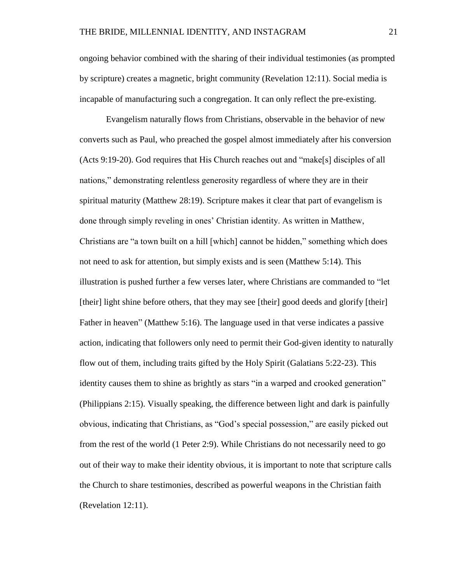ongoing behavior combined with the sharing of their individual testimonies (as prompted by scripture) creates a magnetic, bright community (Revelation 12:11). Social media is incapable of manufacturing such a congregation. It can only reflect the pre-existing.

Evangelism naturally flows from Christians, observable in the behavior of new converts such as Paul, who preached the gospel almost immediately after his conversion (Acts 9:19-20). God requires that His Church reaches out and "make[s] disciples of all nations," demonstrating relentless generosity regardless of where they are in their spiritual maturity (Matthew 28:19). Scripture makes it clear that part of evangelism is done through simply reveling in ones' Christian identity. As written in Matthew, Christians are "a town built on a hill [which] cannot be hidden," something which does not need to ask for attention, but simply exists and is seen (Matthew 5:14). This illustration is pushed further a few verses later, where Christians are commanded to "let [their] light shine before others, that they may see [their] good deeds and glorify [their] Father in heaven" (Matthew 5:16). The language used in that verse indicates a passive action, indicating that followers only need to permit their God-given identity to naturally flow out of them, including traits gifted by the Holy Spirit (Galatians 5:22-23). This identity causes them to shine as brightly as stars "in a warped and crooked generation" (Philippians 2:15). Visually speaking, the difference between light and dark is painfully obvious, indicating that Christians, as "God's special possession," are easily picked out from the rest of the world (1 Peter 2:9). While Christians do not necessarily need to go out of their way to make their identity obvious, it is important to note that scripture calls the Church to share testimonies, described as powerful weapons in the Christian faith (Revelation 12:11).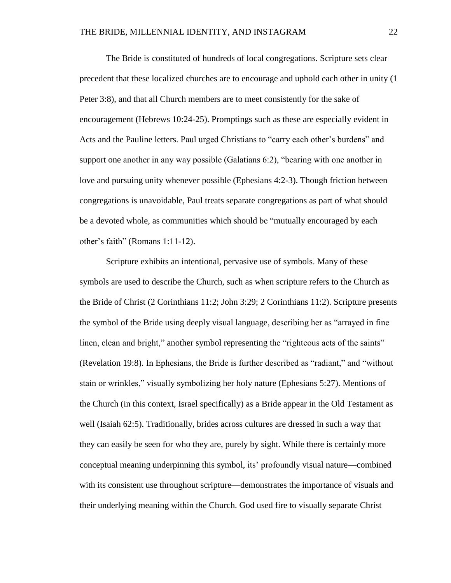The Bride is constituted of hundreds of local congregations. Scripture sets clear precedent that these localized churches are to encourage and uphold each other in unity (1 Peter 3:8), and that all Church members are to meet consistently for the sake of encouragement (Hebrews 10:24-25). Promptings such as these are especially evident in Acts and the Pauline letters. Paul urged Christians to "carry each other's burdens" and support one another in any way possible (Galatians 6:2), "bearing with one another in love and pursuing unity whenever possible (Ephesians 4:2-3). Though friction between congregations is unavoidable, Paul treats separate congregations as part of what should be a devoted whole, as communities which should be "mutually encouraged by each other's faith" (Romans 1:11-12).

Scripture exhibits an intentional, pervasive use of symbols. Many of these symbols are used to describe the Church, such as when scripture refers to the Church as the Bride of Christ (2 Corinthians 11:2; John 3:29; 2 Corinthians 11:2). Scripture presents the symbol of the Bride using deeply visual language, describing her as "arrayed in fine linen, clean and bright," another symbol representing the "righteous acts of the saints" (Revelation 19:8). In Ephesians, the Bride is further described as "radiant," and "without stain or wrinkles," visually symbolizing her holy nature (Ephesians 5:27). Mentions of the Church (in this context, Israel specifically) as a Bride appear in the Old Testament as well (Isaiah 62:5). Traditionally, brides across cultures are dressed in such a way that they can easily be seen for who they are, purely by sight. While there is certainly more conceptual meaning underpinning this symbol, its' profoundly visual nature—combined with its consistent use throughout scripture—demonstrates the importance of visuals and their underlying meaning within the Church. God used fire to visually separate Christ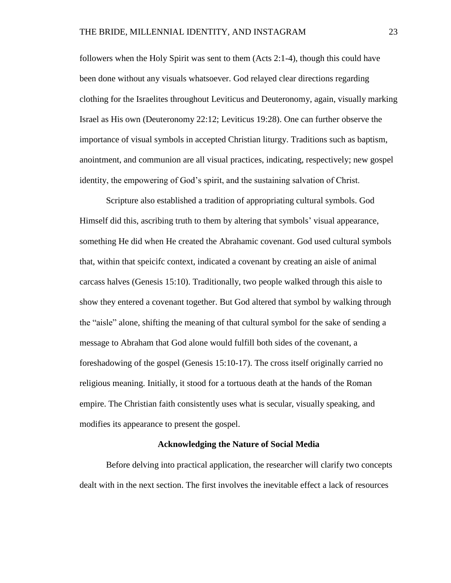followers when the Holy Spirit was sent to them (Acts 2:1-4), though this could have been done without any visuals whatsoever. God relayed clear directions regarding clothing for the Israelites throughout Leviticus and Deuteronomy, again, visually marking Israel as His own (Deuteronomy 22:12; Leviticus 19:28). One can further observe the importance of visual symbols in accepted Christian liturgy. Traditions such as baptism, anointment, and communion are all visual practices, indicating, respectively; new gospel identity, the empowering of God's spirit, and the sustaining salvation of Christ.

Scripture also established a tradition of appropriating cultural symbols. God Himself did this, ascribing truth to them by altering that symbols' visual appearance, something He did when He created the Abrahamic covenant. God used cultural symbols that, within that speicifc context, indicated a covenant by creating an aisle of animal carcass halves (Genesis 15:10). Traditionally, two people walked through this aisle to show they entered a covenant together. But God altered that symbol by walking through the "aisle" alone, shifting the meaning of that cultural symbol for the sake of sending a message to Abraham that God alone would fulfill both sides of the covenant, a foreshadowing of the gospel (Genesis 15:10-17). The cross itself originally carried no religious meaning. Initially, it stood for a tortuous death at the hands of the Roman empire. The Christian faith consistently uses what is secular, visually speaking, and modifies its appearance to present the gospel.

## **Acknowledging the Nature of Social Media**

Before delving into practical application, the researcher will clarify two concepts dealt with in the next section. The first involves the inevitable effect a lack of resources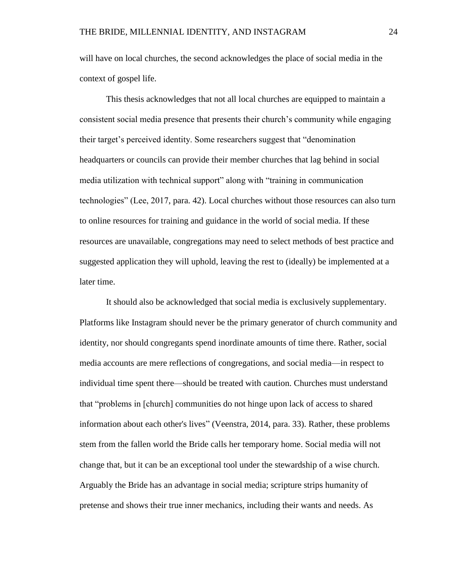will have on local churches, the second acknowledges the place of social media in the context of gospel life.

This thesis acknowledges that not all local churches are equipped to maintain a consistent social media presence that presents their church's community while engaging their target's perceived identity. Some researchers suggest that "denomination headquarters or councils can provide their member churches that lag behind in social media utilization with technical support" along with "training in communication technologies" (Lee, 2017, para. 42). Local churches without those resources can also turn to online resources for training and guidance in the world of social media. If these resources are unavailable, congregations may need to select methods of best practice and suggested application they will uphold, leaving the rest to (ideally) be implemented at a later time.

It should also be acknowledged that social media is exclusively supplementary. Platforms like Instagram should never be the primary generator of church community and identity, nor should congregants spend inordinate amounts of time there. Rather, social media accounts are mere reflections of congregations, and social media—in respect to individual time spent there—should be treated with caution. Churches must understand that "problems in [church] communities do not hinge upon lack of access to shared information about each other's lives" (Veenstra, 2014, para. 33). Rather, these problems stem from the fallen world the Bride calls her temporary home. Social media will not change that, but it can be an exceptional tool under the stewardship of a wise church. Arguably the Bride has an advantage in social media; scripture strips humanity of pretense and shows their true inner mechanics, including their wants and needs. As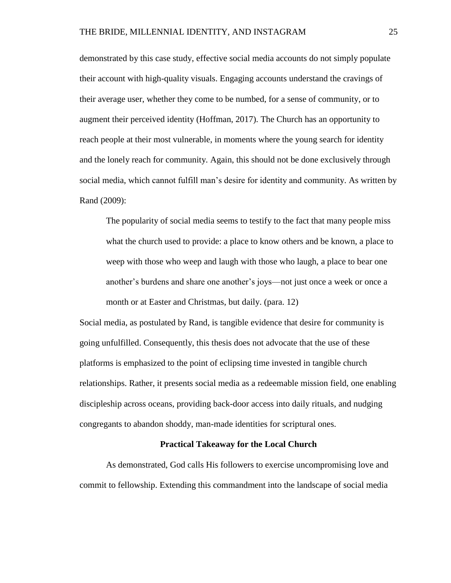demonstrated by this case study, effective social media accounts do not simply populate their account with high-quality visuals. Engaging accounts understand the cravings of their average user, whether they come to be numbed, for a sense of community, or to augment their perceived identity (Hoffman, 2017). The Church has an opportunity to reach people at their most vulnerable, in moments where the young search for identity and the lonely reach for community. Again, this should not be done exclusively through social media, which cannot fulfill man's desire for identity and community. As written by Rand (2009):

The popularity of social media seems to testify to the fact that many people miss what the church used to provide: a place to know others and be known, a place to weep with those who weep and laugh with those who laugh, a place to bear one another's burdens and share one another's joys—not just once a week or once a month or at Easter and Christmas, but daily. (para. 12)

Social media, as postulated by Rand, is tangible evidence that desire for community is going unfulfilled. Consequently, this thesis does not advocate that the use of these platforms is emphasized to the point of eclipsing time invested in tangible church relationships. Rather, it presents social media as a redeemable mission field, one enabling discipleship across oceans, providing back-door access into daily rituals, and nudging congregants to abandon shoddy, man-made identities for scriptural ones.

## **Practical Takeaway for the Local Church**

As demonstrated, God calls His followers to exercise uncompromising love and commit to fellowship. Extending this commandment into the landscape of social media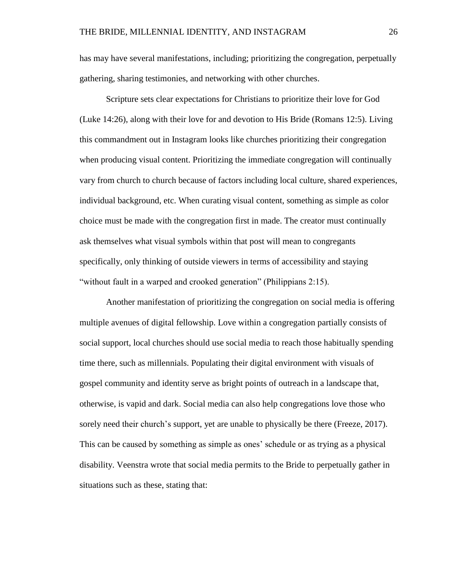has may have several manifestations, including; prioritizing the congregation, perpetually gathering, sharing testimonies, and networking with other churches.

Scripture sets clear expectations for Christians to prioritize their love for God (Luke 14:26), along with their love for and devotion to His Bride (Romans 12:5). Living this commandment out in Instagram looks like churches prioritizing their congregation when producing visual content. Prioritizing the immediate congregation will continually vary from church to church because of factors including local culture, shared experiences, individual background, etc. When curating visual content, something as simple as color choice must be made with the congregation first in made. The creator must continually ask themselves what visual symbols within that post will mean to congregants specifically, only thinking of outside viewers in terms of accessibility and staying "without fault in a warped and crooked generation" (Philippians 2:15).

Another manifestation of prioritizing the congregation on social media is offering multiple avenues of digital fellowship. Love within a congregation partially consists of social support, local churches should use social media to reach those habitually spending time there, such as millennials. Populating their digital environment with visuals of gospel community and identity serve as bright points of outreach in a landscape that, otherwise, is vapid and dark. Social media can also help congregations love those who sorely need their church's support, yet are unable to physically be there (Freeze, 2017). This can be caused by something as simple as ones' schedule or as trying as a physical disability. Veenstra wrote that social media permits to the Bride to perpetually gather in situations such as these, stating that: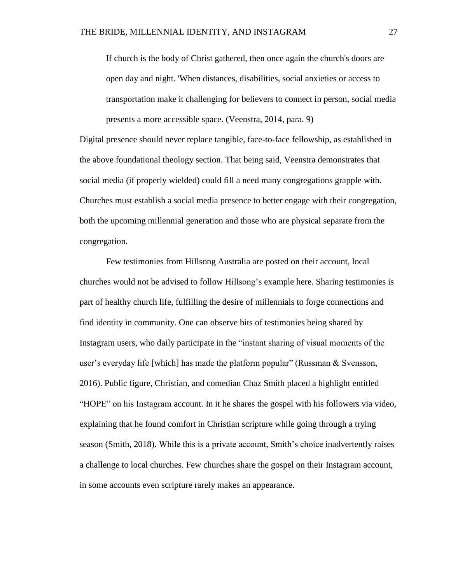If church is the body of Christ gathered, then once again the church's doors are open day and night. 'When distances, disabilities, social anxieties or access to transportation make it challenging for believers to connect in person, social media presents a more accessible space. (Veenstra, 2014, para. 9)

Digital presence should never replace tangible, face-to-face fellowship, as established in the above foundational theology section. That being said, Veenstra demonstrates that social media (if properly wielded) could fill a need many congregations grapple with. Churches must establish a social media presence to better engage with their congregation, both the upcoming millennial generation and those who are physical separate from the congregation.

Few testimonies from Hillsong Australia are posted on their account, local churches would not be advised to follow Hillsong's example here. Sharing testimonies is part of healthy church life, fulfilling the desire of millennials to forge connections and find identity in community. One can observe bits of testimonies being shared by Instagram users, who daily participate in the "instant sharing of visual moments of the user's everyday life [which] has made the platform popular" (Russman & Svensson, 2016). Public figure, Christian, and comedian Chaz Smith placed a highlight entitled "HOPE" on his Instagram account. In it he shares the gospel with his followers via video, explaining that he found comfort in Christian scripture while going through a trying season (Smith, 2018). While this is a private account, Smith's choice inadvertently raises a challenge to local churches. Few churches share the gospel on their Instagram account, in some accounts even scripture rarely makes an appearance.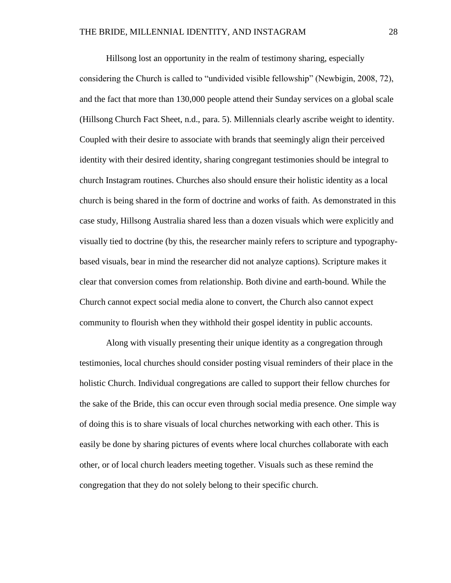Hillsong lost an opportunity in the realm of testimony sharing, especially considering the Church is called to "undivided visible fellowship" (Newbigin, 2008, 72), and the fact that more than 130,000 people attend their Sunday services on a global scale (Hillsong Church Fact Sheet, n.d., para. 5). Millennials clearly ascribe weight to identity. Coupled with their desire to associate with brands that seemingly align their perceived identity with their desired identity, sharing congregant testimonies should be integral to church Instagram routines. Churches also should ensure their holistic identity as a local church is being shared in the form of doctrine and works of faith. As demonstrated in this case study, Hillsong Australia shared less than a dozen visuals which were explicitly and visually tied to doctrine (by this, the researcher mainly refers to scripture and typographybased visuals, bear in mind the researcher did not analyze captions). Scripture makes it clear that conversion comes from relationship. Both divine and earth-bound. While the Church cannot expect social media alone to convert, the Church also cannot expect community to flourish when they withhold their gospel identity in public accounts.

Along with visually presenting their unique identity as a congregation through testimonies, local churches should consider posting visual reminders of their place in the holistic Church. Individual congregations are called to support their fellow churches for the sake of the Bride, this can occur even through social media presence. One simple way of doing this is to share visuals of local churches networking with each other. This is easily be done by sharing pictures of events where local churches collaborate with each other, or of local church leaders meeting together. Visuals such as these remind the congregation that they do not solely belong to their specific church.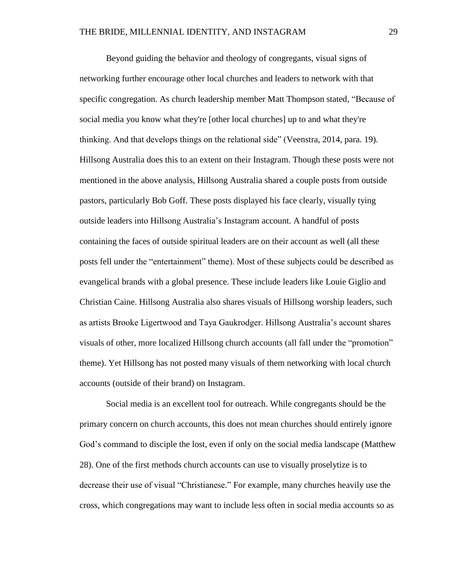Beyond guiding the behavior and theology of congregants, visual signs of networking further encourage other local churches and leaders to network with that specific congregation. As church leadership member Matt Thompson stated, "Because of social media you know what they're [other local churches] up to and what they're thinking. And that develops things on the relational side" (Veenstra, 2014, para. 19). Hillsong Australia does this to an extent on their Instagram. Though these posts were not mentioned in the above analysis, Hillsong Australia shared a couple posts from outside pastors, particularly Bob Goff. These posts displayed his face clearly, visually tying outside leaders into Hillsong Australia's Instagram account. A handful of posts containing the faces of outside spiritual leaders are on their account as well (all these posts fell under the "entertainment" theme). Most of these subjects could be described as evangelical brands with a global presence. These include leaders like Louie Giglio and Christian Caine. Hillsong Australia also shares visuals of Hillsong worship leaders, such as artists Brooke Ligertwood and Taya Gaukrodger. Hillsong Australia's account shares visuals of other, more localized Hillsong church accounts (all fall under the "promotion" theme). Yet Hillsong has not posted many visuals of them networking with local church accounts (outside of their brand) on Instagram.

Social media is an excellent tool for outreach. While congregants should be the primary concern on church accounts, this does not mean churches should entirely ignore God's command to disciple the lost, even if only on the social media landscape (Matthew 28). One of the first methods church accounts can use to visually proselytize is to decrease their use of visual "Christianese." For example, many churches heavily use the cross, which congregations may want to include less often in social media accounts so as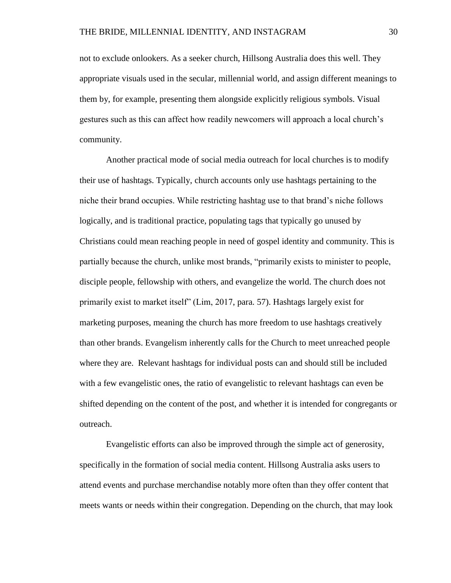not to exclude onlookers. As a seeker church, Hillsong Australia does this well. They appropriate visuals used in the secular, millennial world, and assign different meanings to them by, for example, presenting them alongside explicitly religious symbols. Visual gestures such as this can affect how readily newcomers will approach a local church's community.

Another practical mode of social media outreach for local churches is to modify their use of hashtags. Typically, church accounts only use hashtags pertaining to the niche their brand occupies. While restricting hashtag use to that brand's niche follows logically, and is traditional practice, populating tags that typically go unused by Christians could mean reaching people in need of gospel identity and community. This is partially because the church, unlike most brands, "primarily exists to minister to people, disciple people, fellowship with others, and evangelize the world. The church does not primarily exist to market itself" (Lim, 2017, para. 57). Hashtags largely exist for marketing purposes, meaning the church has more freedom to use hashtags creatively than other brands. Evangelism inherently calls for the Church to meet unreached people where they are. Relevant hashtags for individual posts can and should still be included with a few evangelistic ones, the ratio of evangelistic to relevant hashtags can even be shifted depending on the content of the post, and whether it is intended for congregants or outreach.

Evangelistic efforts can also be improved through the simple act of generosity, specifically in the formation of social media content. Hillsong Australia asks users to attend events and purchase merchandise notably more often than they offer content that meets wants or needs within their congregation. Depending on the church, that may look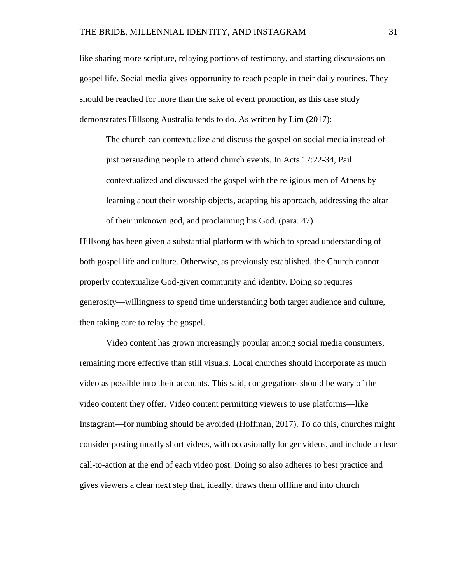like sharing more scripture, relaying portions of testimony, and starting discussions on gospel life. Social media gives opportunity to reach people in their daily routines. They should be reached for more than the sake of event promotion, as this case study demonstrates Hillsong Australia tends to do. As written by Lim (2017):

The church can contextualize and discuss the gospel on social media instead of just persuading people to attend church events. In Acts 17:22-34, Pail contextualized and discussed the gospel with the religious men of Athens by learning about their worship objects, adapting his approach, addressing the altar of their unknown god, and proclaiming his God. (para. 47)

Hillsong has been given a substantial platform with which to spread understanding of both gospel life and culture. Otherwise, as previously established, the Church cannot properly contextualize God-given community and identity. Doing so requires generosity—willingness to spend time understanding both target audience and culture, then taking care to relay the gospel.

Video content has grown increasingly popular among social media consumers, remaining more effective than still visuals. Local churches should incorporate as much video as possible into their accounts. This said, congregations should be wary of the video content they offer. Video content permitting viewers to use platforms—like Instagram—for numbing should be avoided (Hoffman, 2017). To do this, churches might consider posting mostly short videos, with occasionally longer videos, and include a clear call-to-action at the end of each video post. Doing so also adheres to best practice and gives viewers a clear next step that, ideally, draws them offline and into church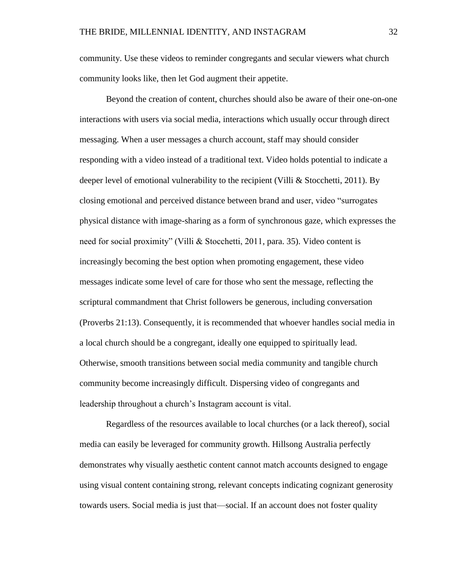community. Use these videos to reminder congregants and secular viewers what church community looks like, then let God augment their appetite.

Beyond the creation of content, churches should also be aware of their one-on-one interactions with users via social media, interactions which usually occur through direct messaging. When a user messages a church account, staff may should consider responding with a video instead of a traditional text. Video holds potential to indicate a deeper level of emotional vulnerability to the recipient (Villi & Stocchetti, 2011). By closing emotional and perceived distance between brand and user, video "surrogates physical distance with image-sharing as a form of synchronous gaze, which expresses the need for social proximity" (Villi & Stocchetti, 2011, para. 35). Video content is increasingly becoming the best option when promoting engagement, these video messages indicate some level of care for those who sent the message, reflecting the scriptural commandment that Christ followers be generous, including conversation (Proverbs 21:13). Consequently, it is recommended that whoever handles social media in a local church should be a congregant, ideally one equipped to spiritually lead. Otherwise, smooth transitions between social media community and tangible church community become increasingly difficult. Dispersing video of congregants and leadership throughout a church's Instagram account is vital.

Regardless of the resources available to local churches (or a lack thereof), social media can easily be leveraged for community growth. Hillsong Australia perfectly demonstrates why visually aesthetic content cannot match accounts designed to engage using visual content containing strong, relevant concepts indicating cognizant generosity towards users. Social media is just that—social. If an account does not foster quality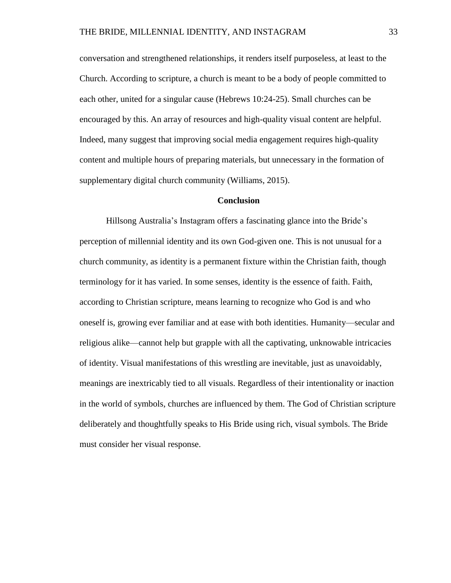conversation and strengthened relationships, it renders itself purposeless, at least to the Church. According to scripture, a church is meant to be a body of people committed to each other, united for a singular cause (Hebrews 10:24-25). Small churches can be encouraged by this. An array of resources and high-quality visual content are helpful. Indeed, many suggest that improving social media engagement requires high-quality content and multiple hours of preparing materials, but unnecessary in the formation of supplementary digital church community (Williams, 2015).

## **Conclusion**

Hillsong Australia's Instagram offers a fascinating glance into the Bride's perception of millennial identity and its own God-given one. This is not unusual for a church community, as identity is a permanent fixture within the Christian faith, though terminology for it has varied. In some senses, identity is the essence of faith. Faith, according to Christian scripture, means learning to recognize who God is and who oneself is, growing ever familiar and at ease with both identities. Humanity—secular and religious alike—cannot help but grapple with all the captivating, unknowable intricacies of identity. Visual manifestations of this wrestling are inevitable, just as unavoidably, meanings are inextricably tied to all visuals. Regardless of their intentionality or inaction in the world of symbols, churches are influenced by them. The God of Christian scripture deliberately and thoughtfully speaks to His Bride using rich, visual symbols. The Bride must consider her visual response.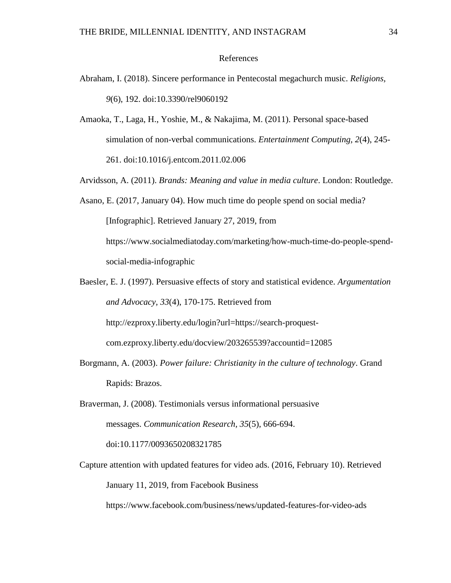# References

- Abraham, I. (2018). Sincere performance in Pentecostal megachurch music. *Religions, 9*(6), 192. doi:10.3390/rel9060192
- Amaoka, T., Laga, H., Yoshie, M., & Nakajima, M. (2011). Personal space-based simulation of non-verbal communications. *Entertainment Computing, 2*(4), 245- 261. doi:10.1016/j.entcom.2011.02.006
- Arvidsson, A. (2011). *Brands: Meaning and value in media culture*. London: Routledge.

Asano, E. (2017, January 04). How much time do people spend on social media? [Infographic]. Retrieved January 27, 2019, from https://www.socialmediatoday.com/marketing/how-much-time-do-people-spendsocial-media-infographic

- Baesler, E. J. (1997). Persuasive effects of story and statistical evidence. *Argumentation and Advocacy, 33*(4), 170-175. Retrieved from http://ezproxy.liberty.edu/login?url=https://search-proquestcom.ezproxy.liberty.edu/docview/203265539?accountid=12085
- Borgmann, A. (2003). *Power failure: Christianity in the culture of technology*. Grand Rapids: Brazos.

Braverman, J. (2008). Testimonials versus informational persuasive messages. *Communication Research, 35*(5), 666-694. doi:10.1177/0093650208321785

Capture attention with updated features for video ads. (2016, February 10). Retrieved January 11, 2019, from Facebook Business

https://www.facebook.com/business/news/updated-features-for-video-ads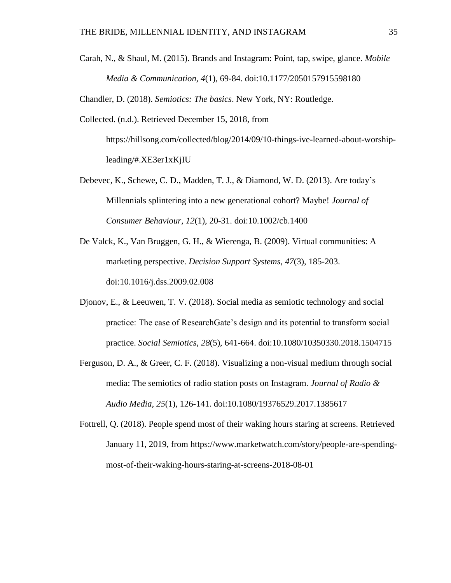Carah, N., & Shaul, M. (2015). Brands and Instagram: Point, tap, swipe, glance. *Mobile Media & Communication, 4*(1), 69-84. doi:10.1177/2050157915598180

Chandler, D. (2018). *Semiotics: The basics*. New York, NY: Routledge.

- Collected. (n.d.). Retrieved December 15, 2018, from https://hillsong.com/collected/blog/2014/09/10-things-ive-learned-about-worshipleading/#.XE3er1xKjIU
- Debevec, K., Schewe, C. D., Madden, T. J., & Diamond, W. D. (2013). Are today's Millennials splintering into a new generational cohort? Maybe! *Journal of Consumer Behaviour, 12*(1), 20-31. doi:10.1002/cb.1400
- De Valck, K., Van Bruggen, G. H., & Wierenga, B. (2009). Virtual communities: A marketing perspective. *Decision Support Systems, 47*(3), 185-203. doi:10.1016/j.dss.2009.02.008
- Djonov, E., & Leeuwen, T. V. (2018). Social media as semiotic technology and social practice: The case of ResearchGate's design and its potential to transform social practice. *Social Semiotics, 28*(5), 641-664. doi:10.1080/10350330.2018.1504715
- Ferguson, D. A., & Greer, C. F. (2018). Visualizing a non-visual medium through social media: The semiotics of radio station posts on Instagram. *Journal of Radio & Audio Media, 25*(1), 126-141. doi:10.1080/19376529.2017.1385617
- Fottrell, Q. (2018). People spend most of their waking hours staring at screens. Retrieved January 11, 2019, from [https://www.marketwatch.com/story/people-are-spending](https://www.marketwatch.com/story/people-are-spending-most-of-their-waking-hours-staring-at-screens-2018-08-01)[most-of-their-waking-hours-staring-at-screens-2018-08-01](https://www.marketwatch.com/story/people-are-spending-most-of-their-waking-hours-staring-at-screens-2018-08-01)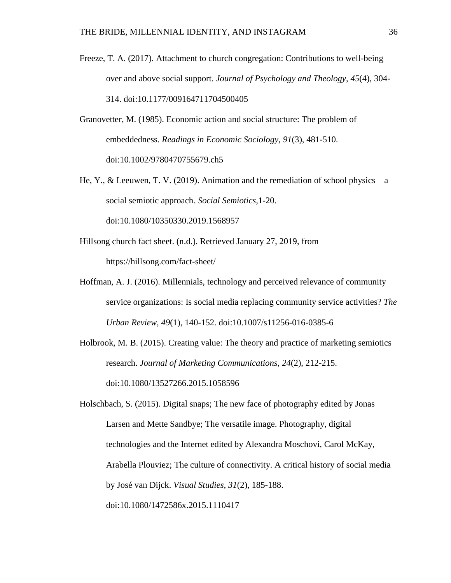- Freeze, T. A. (2017). Attachment to church congregation: Contributions to well-being over and above social support. *Journal of Psychology and Theology, 45*(4), 304- 314. doi:10.1177/009164711704500405
- Granovetter, M. (1985). Economic action and social structure: The problem of embeddedness. *Readings in Economic Sociology, 91*(3), 481-510. doi:10.1002/9780470755679.ch5
- He, Y., & Leeuwen, T. V. (2019). Animation and the remediation of school physics a social semiotic approach. *Social Semiotics,*1-20. doi:10.1080/10350330.2019.1568957
- Hillsong church fact sheet. (n.d.). Retrieved January 27, 2019, from https://hillsong.com/fact-sheet/
- Hoffman, A. J. (2016). Millennials, technology and perceived relevance of community service organizations: Is social media replacing community service activities? *The Urban Review, 49*(1), 140-152. doi:10.1007/s11256-016-0385-6
- Holbrook, M. B. (2015). Creating value: The theory and practice of marketing semiotics research. *Journal of Marketing Communications, 24*(2), 212-215. doi:10.1080/13527266.2015.1058596

Holschbach, S. (2015). Digital snaps; The new face of photography edited by Jonas Larsen and Mette Sandbye; The versatile image. Photography, digital technologies and the Internet edited by Alexandra Moschovi, Carol McKay, Arabella Plouviez; The culture of connectivity. A critical history of social media by José van Dijck. *Visual Studies, 31*(2), 185-188. doi:10.1080/1472586x.2015.1110417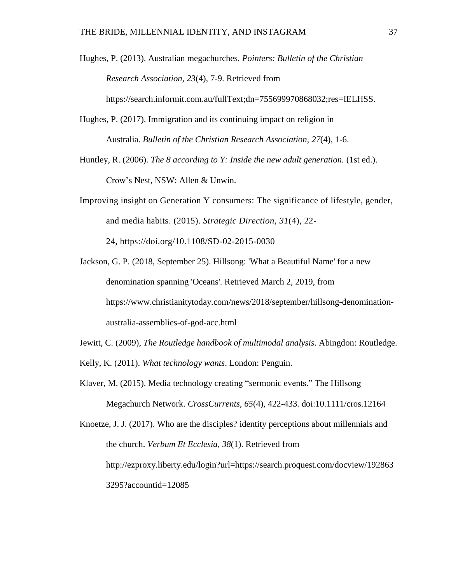- Hughes, P. (2013). Australian megachurches. *Pointers: Bulletin of the Christian Research Association, 23*(4), 7-9. Retrieved from https://search.informit.com.au/fullText;dn=755699970868032;res=IELHSS.
- Hughes, P. (2017). Immigration and its continuing impact on religion in Australia. *Bulletin of the Christian Research Association, 27*(4), 1-6.
- Huntley, R. (2006). *The 8 according to Y: Inside the new adult generation.* (1st ed.). Crow's Nest, NSW: Allen & Unwin.
- Improving insight on Generation Y consumers: The significance of lifestyle, gender, and media habits. (2015). *Strategic Direction, 31*(4), 22- 24, <https://doi.org/10.1108/SD-02-2015-0030>
- Jackson, G. P. (2018, September 25). Hillsong: 'What a Beautiful Name' for a new denomination spanning 'Oceans'. Retrieved March 2, 2019, from https://www.christianitytoday.com/news/2018/september/hillsong-denominationaustralia-assemblies-of-god-acc.html
- Jewitt, C. (2009), *The Routledge handbook of multimodal analysis*. Abingdon: Routledge.
- Kelly, K. (2011). *What technology wants*. London: Penguin.
- Klaver, M. (2015). Media technology creating "sermonic events." The Hillsong Megachurch Network. *CrossCurrents, 65*(4), 422-433. doi:10.1111/cros.12164

Knoetze, J. J. (2017). Who are the disciples? identity perceptions about millennials and the church. *Verbum Et Ecclesia, 38*(1). Retrieved from http://ezproxy.liberty.edu/login?url=https://search.proquest.com/docview/192863 3295?accountid=12085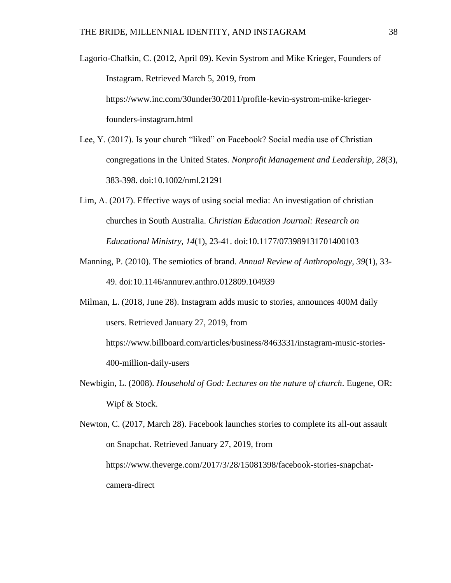- Lagorio-Chafkin, C. (2012, April 09). Kevin Systrom and Mike Krieger, Founders of Instagram. Retrieved March 5, 2019, from https://www.inc.com/30under30/2011/profile-kevin-systrom-mike-kriegerfounders-instagram.html
- Lee, Y. (2017). Is your church "liked" on Facebook? Social media use of Christian congregations in the United States. *Nonprofit Management and Leadership, 28*(3), 383-398. doi:10.1002/nml.21291
- Lim, A. (2017). Effective ways of using social media: An investigation of christian churches in South Australia. *Christian Education Journal: Research on Educational Ministry, 14*(1), 23-41. doi:10.1177/073989131701400103
- Manning, P. (2010). The semiotics of brand. *Annual Review of Anthropology, 39*(1), 33- 49. doi:10.1146/annurev.anthro.012809.104939

Milman, L. (2018, June 28). Instagram adds music to stories, announces 400M daily users. Retrieved January 27, 2019, from https://www.billboard.com/articles/business/8463331/instagram-music-stories-400-million-daily-users

Newbigin, L. (2008). *Household of God: Lectures on the nature of church*. Eugene, OR: Wipf & Stock.

Newton, C. (2017, March 28). Facebook launches stories to complete its all-out assault on Snapchat. Retrieved January 27, 2019, from https://www.theverge.com/2017/3/28/15081398/facebook-stories-snapchatcamera-direct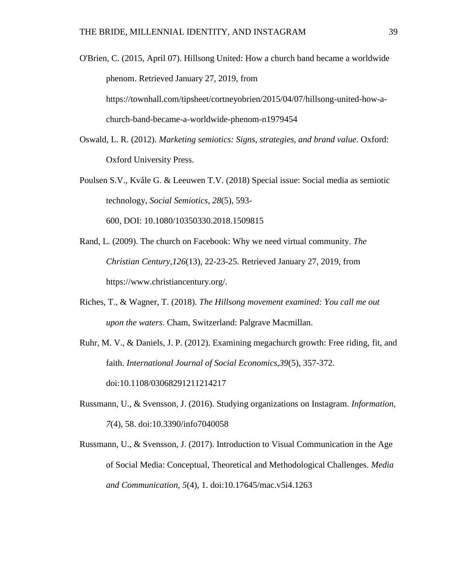- O'Brien, C. (2015, April 07). Hillsong United: How a church band became a worldwide phenom. Retrieved January 27, 2019, from https://townhall.com/tipsheet/cortneyobrien/2015/04/07/hillsong-united-how-achurch-band-became-a-worldwide-phenom-n1979454
- Oswald, L. R. (2012). *Marketing semiotics: Signs, strategies, and brand value*. Oxford: Oxford University Press.
- Poulsen S.V., Kvåle G. & Leeuwen T.V. (2018) Special issue: Social media as semiotic technology, *Social Semiotics*, *28*(5), 593- 600, DOI: [10.1080/10350330.2018.1509815](https://doi-org.ezproxy.liberty.edu/10.1080/10350330.2018.1509815)
- Rand, L. (2009). The church on Facebook: Why we need virtual community. *The Christian Century,126*(13), 22-23-25. Retrieved January 27, 2019, from https://www.christiancentury.org/.
- Riches, T., & Wagner, T. (2018). *The Hillsong movement examined: You call me out upon the waters*. Cham, Switzerland: Palgrave Macmillan.
- Ruhr, M. V., & Daniels, J. P. (2012). Examining megachurch growth: Free riding, fit, and faith. *International Journal of Social Economics,39*(5), 357-372. doi:10.1108/03068291211214217
- Russmann, U., & Svensson, J. (2016). Studying organizations on Instagram. *Information, 7*(4), 58. doi:10.3390/info7040058
- Russmann, U., & Svensson, J. (2017). Introduction to Visual Communication in the Age of Social Media: Conceptual, Theoretical and Methodological Challenges. *Media and Communication, 5*(4), 1. doi:10.17645/mac.v5i4.1263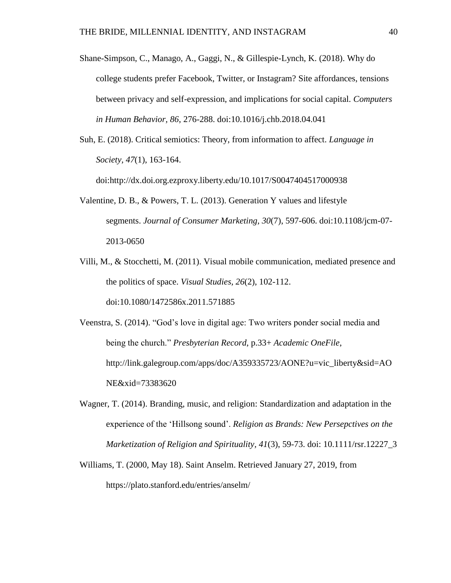- Shane-Simpson, C., Manago, A., Gaggi, N., & Gillespie-Lynch, K. (2018). Why do college students prefer Facebook, Twitter, or Instagram? Site affordances, tensions between privacy and self-expression, and implications for social capital. *Computers in Human Behavior, 86*, 276-288. doi:10.1016/j.chb.2018.04.041
- Suh, E. (2018). Critical semiotics: Theory, from information to affect. *Language in Society, 47*(1), 163-164.

doi:http://dx.doi.org.ezproxy.liberty.edu/10.1017/S0047404517000938

- Valentine, D. B., & Powers, T. L. (2013). Generation Y values and lifestyle segments. *Journal of Consumer Marketing, 30*(7), 597-606. doi:10.1108/jcm-07- 2013-0650
- Villi, M., & Stocchetti, M. (2011). Visual mobile communication, mediated presence and the politics of space. *Visual Studies, 26*(2), 102-112. doi:10.1080/1472586x.2011.571885
- Veenstra, S. (2014). "God's love in digital age: Two writers ponder social media and being the church." *Presbyterian Record*, p.33+ *Academic OneFile*, http://link.galegroup.com/apps/doc/A359335723/AONE?u=vic\_liberty&sid=AO NE&xid=73383620
- Wagner, T. (2014). Branding, music, and religion: Standardization and adaptation in the experience of the 'Hillsong sound'. *Religion as Brands: New Persepctives on the Marketization of Religion and Spirituality, 41*(3), 59-73. doi: [10.1111/rsr.12227\\_3](https://doi.org/10.1111/rsr.12227_3)
- Williams, T. (2000, May 18). Saint Anselm. Retrieved January 27, 2019, from https://plato.stanford.edu/entries/anselm/